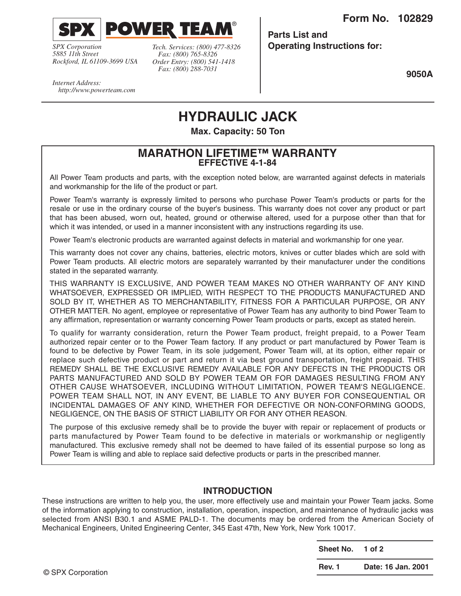**Form No. 102829**



**POWER TEA** 

*SPX Corporation 5885 11th Street Rockford, IL 61109-3699 USA* *Tech. Services: (800) 477-8326 Fax: (800) 765-8326 Order Entry: (800) 541-1418 Fax: (800) 288-7031*

**Parts List and Operating Instructions for:**

**9050A**

*Internet Address: http://www.powerteam.com*

# **HYDRAULIC JACK**

®

**Max. Capacity: 50 Ton**

#### **MARATHON LIFETIME™ WARRANTY EFFECTIVE 4-1-84**

All Power Team products and parts, with the exception noted below, are warranted against defects in materials and workmanship for the life of the product or part.

Power Team's warranty is expressly limited to persons who purchase Power Team's products or parts for the resale or use in the ordinary course of the buyer's business. This warranty does not cover any product or part that has been abused, worn out, heated, ground or otherwise altered, used for a purpose other than that for which it was intended, or used in a manner inconsistent with any instructions regarding its use.

Power Team's electronic products are warranted against defects in material and workmanship for one year.

This warranty does not cover any chains, batteries, electric motors, knives or cutter blades which are sold with Power Team products. All electric motors are separately warranted by their manufacturer under the conditions stated in the separated warranty.

THIS WARRANTY IS EXCLUSIVE, AND POWER TEAM MAKES NO OTHER WARRANTY OF ANY KIND WHATSOEVER, EXPRESSED OR IMPLIED, WITH RESPECT TO THE PRODUCTS MANUFACTURED AND SOLD BY IT, WHETHER AS TO MERCHANTABILITY, FITNESS FOR A PARTICULAR PURPOSE, OR ANY OTHER MATTER. No agent, employee or representative of Power Team has any authority to bind Power Team to any affirmation, representation or warranty concerning Power Team products or parts, except as stated herein.

To qualify for warranty consideration, return the Power Team product, freight prepaid, to a Power Team authorized repair center or to the Power Team factory. If any product or part manufactured by Power Team is found to be defective by Power Team, in its sole judgement, Power Team will, at its option, either repair or replace such defective product or part and return it via best ground transportation, freight prepaid. THIS REMEDY SHALL BE THE EXCLUSIVE REMEDY AVAILABLE FOR ANY DEFECTS IN THE PRODUCTS OR PARTS MANUFACTURED AND SOLD BY POWER TEAM OR FOR DAMAGES RESULTING FROM ANY OTHER CAUSE WHATSOEVER, INCLUDING WITHOUT LIMITATION, POWER TEAM'S NEGLIGENCE. POWER TEAM SHALL NOT, IN ANY EVENT, BE LIABLE TO ANY BUYER FOR CONSEQUENTIAL OR INCIDENTAL DAMAGES OF ANY KIND, WHETHER FOR DEFECTIVE OR NON-CONFORMING GOODS, NEGLIGENCE, ON THE BASIS OF STRICT LIABILITY OR FOR ANY OTHER REASON.

The purpose of this exclusive remedy shall be to provide the buyer with repair or replacement of products or parts manufactured by Power Team found to be defective in materials or workmanship or negligently manufactured. This exclusive remedy shall not be deemed to have failed of its essential purpose so long as Power Team is willing and able to replace said defective products or parts in the prescribed manner.

#### **INTRODUCTION**

These instructions are written to help you, the user, more effectively use and maintain your Power Team jacks. Some of the information applying to construction, installation, operation, inspection, and maintenance of hydraulic jacks was selected from ANSI B30.1 and ASME PALD-1. The documents may be ordered from the American Society of Mechanical Engineers, United Engineering Center, 345 East 47th, New York, New York 10017.

|                   | Sheet No. 1 of 2 |                    |
|-------------------|------------------|--------------------|
| © SPX Corporation | Rev. 1           | Date: 16 Jan. 2001 |
|                   |                  |                    |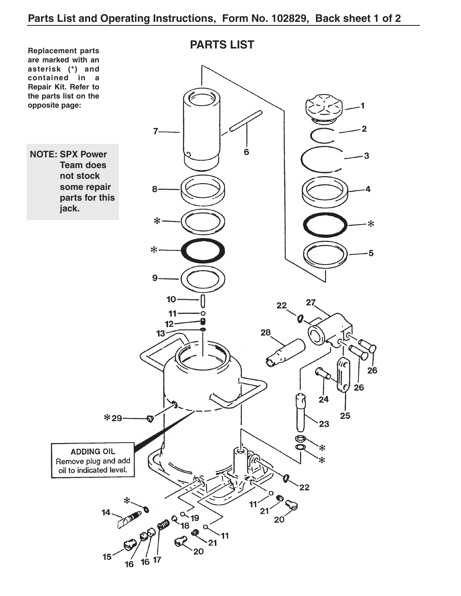### **Parts List and Operating Instructions, Form No. 102829, Back sheet 1 of 2**

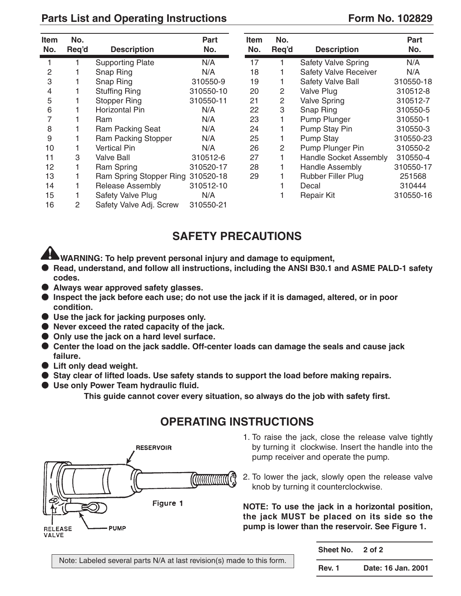### Parts List and Operating Instructions **Form No. 102829**

| <b>Item</b><br>No. | No.<br>Req'd | <b>Description</b>                | Part<br>No. | <b>Item</b><br>No. | No.<br>Reg'd | <b>Description</b>            | <b>Part</b><br>No. |
|--------------------|--------------|-----------------------------------|-------------|--------------------|--------------|-------------------------------|--------------------|
|                    |              | <b>Supporting Plate</b>           | N/A         | 17                 |              | <b>Safety Valve Spring</b>    | N/A                |
| $\overline{2}$     |              | Snap Ring                         | N/A         | 18                 |              | <b>Safety Valve Receiver</b>  | N/A                |
| 3                  |              | Snap Ring                         | 310550-9    | 19                 |              | <b>Safety Valve Ball</b>      | 310550-18          |
| 4                  |              | <b>Stuffing Ring</b>              | 310550-10   | 20                 | 2            | Valve Plug                    | 310512-8           |
| 5                  |              | <b>Stopper Ring</b>               | 310550-11   | 21                 | 2            | <b>Valve Spring</b>           | 310512-7           |
| 6                  |              | Horizontal Pin                    | N/A         | 22                 | 3            | Snap Ring                     | 310550-5           |
|                    |              | Ram                               | N/A         | 23                 |              | Pump Plunger                  | 310550-1           |
| 8                  |              | Ram Packing Seat                  | N/A         | 24                 |              | Pump Stay Pin                 | 310550-3           |
| 9                  |              | Ram Packing Stopper               | N/A         | 25                 |              | <b>Pump Stay</b>              | 310550-23          |
| 10                 |              | <b>Vertical Pin</b>               | N/A         | 26                 | 2            | Pump Plunger Pin              | 310550-2           |
| 11                 | 3            | <b>Valve Ball</b>                 | 310512-6    | 27                 |              | <b>Handle Socket Assembly</b> | 310550-4           |
| 12                 |              | Ram Spring                        | 310520-17   | 28                 |              | <b>Handle Assembly</b>        | 310550-17          |
| 13                 |              | Ram Spring Stopper Ring 310520-18 |             | 29                 |              | <b>Rubber Filler Plug</b>     | 251568             |
| 14                 |              | <b>Release Assembly</b>           | 310512-10   |                    |              | Decal                         | 310444             |
| 15                 |              | Safety Valve Plug                 | N/A         |                    |              | <b>Repair Kit</b>             | 310550-16          |
| 16                 | 2            | Safety Valve Adj. Screw           | 310550-21   |                    |              |                               |                    |

# **SAFETY PRECAUTIONS**

**WARNING: To help prevent personal injury and damage to equipment,**

- **Read, understand, and follow all instructions, including the ANSI B30.1 and ASME PALD-1 safety codes.**
- **Always wear approved safety glasses.**
- **Inspect the jack before each use; do not use the jack if it is damaged, altered, or in poor condition.**
- **Use the jack for jacking purposes only.**
- **Never exceed the rated capacity of the jack.**
- Only use the jack on a hard level surface.
- **Center the load on the jack saddle. Off-center loads can damage the seals and cause jack failure.**
- **Lift only dead weight.**
- **Stay clear of lifted loads. Use safety stands to support the load before making repairs.**
- **Use only Power Team hydraulic fluid.**

**This guide cannot cover every situation, so always do the job with safety first.**



## **OPERATING INSTRUCTIONS**

- 1. To raise the jack, close the release valve tightly by turning it clockwise. Insert the handle into the pump receiver and operate the pump.
- 2. To lower the jack, slowly open the release valve knob by turning it counterclockwise.

**NOTE: To use the jack in a horizontal position, the jack MUST be placed on its side so the pump is lower than the reservoir. See Figure 1.**

Note: Labeled several parts N/A at last revision(s) made to this form.

| <b>Sheet No.</b> | 2 of 2             |
|------------------|--------------------|
| Rev. 1           | Date: 16 Jan. 2001 |